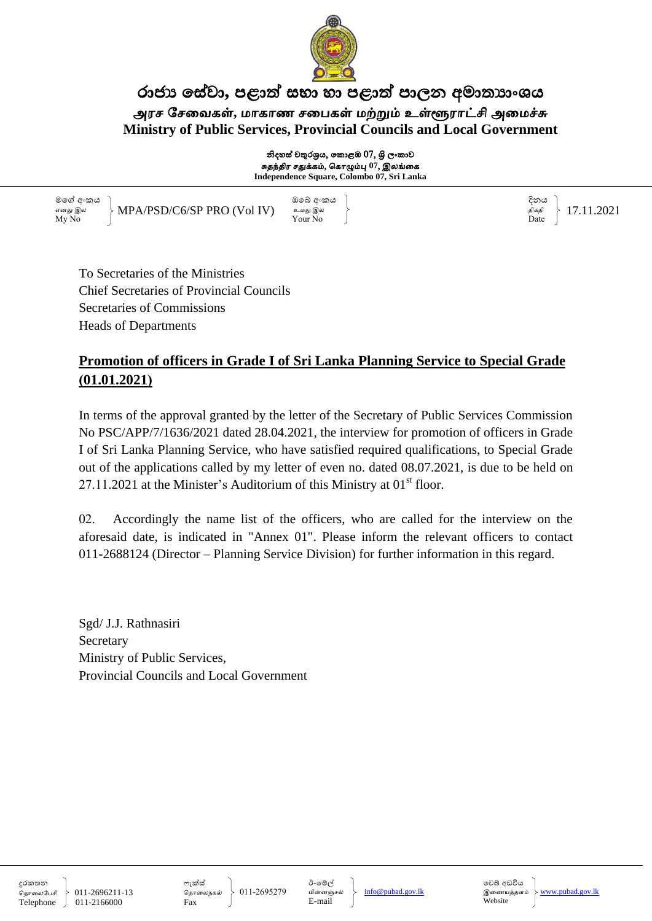

#### රාජා සේවා, පළාත් සභා හා පළාත් පාලන අමාතාහංශය அரச சேவைகள், மாகாண சபைகள் மற்றும் உள்ளூராட்சி அமைச்சு **Ministry of Public Services, Provincial Councils and Local Government**

නිදහස් චතුරශුය, කොළඹ 07, ශිු ලංකාව சுதந்திர சதுக்கம், கொழும்பு 07, இலங்க<mark>ை</mark> **Independence Square, Colombo 07, Sri Lanka**

මමග් අංකය ) අංකය මෙම අංකය මෙම අංකය විද්යාශයෙන් මෙම අංකය විද්යාශයෙන් අංකය විද්යාශයෙන් අංකය දිනය எனது இல $\longrightarrow$  MPA/PSD/C6/SP PRO (Vol IV) உமது இல $\longrightarrow$  வகை விக்க ிக்கதி My No Your No Date MPA/PSD/C6/SP PRO (Vol IV) 17.11.2021

To Secretaries of the Ministries Chief Secretaries of Provincial Councils Secretaries of Commissions Heads of Departments

#### **Promotion of officers in Grade I of Sri Lanka Planning Service to Special Grade (01.01.2021)**

In terms of the approval granted by the letter of the Secretary of Public Services Commission No PSC/APP/7/1636/2021 dated 28.04.2021, the interview for promotion of officers in Grade I of Sri Lanka Planning Service, who have satisfied required qualifications, to Special Grade out of the applications called by my letter of even no. dated 08.07.2021, is due to be held on  $27.11.2021$  at the Minister's Auditorium of this Ministry at  $01<sup>st</sup>$  floor.

02. Accordingly the name list of the officers, who are called for the interview on the aforesaid date, is indicated in "Annex 01". Please inform the relevant officers to contact 011-2688124 (Director – Planning Service Division) for further information in this regard.

Sgd/ J.J. Rathnasiri Secretary Ministry of Public Services, Provincial Councils and Local Government

දුරකතන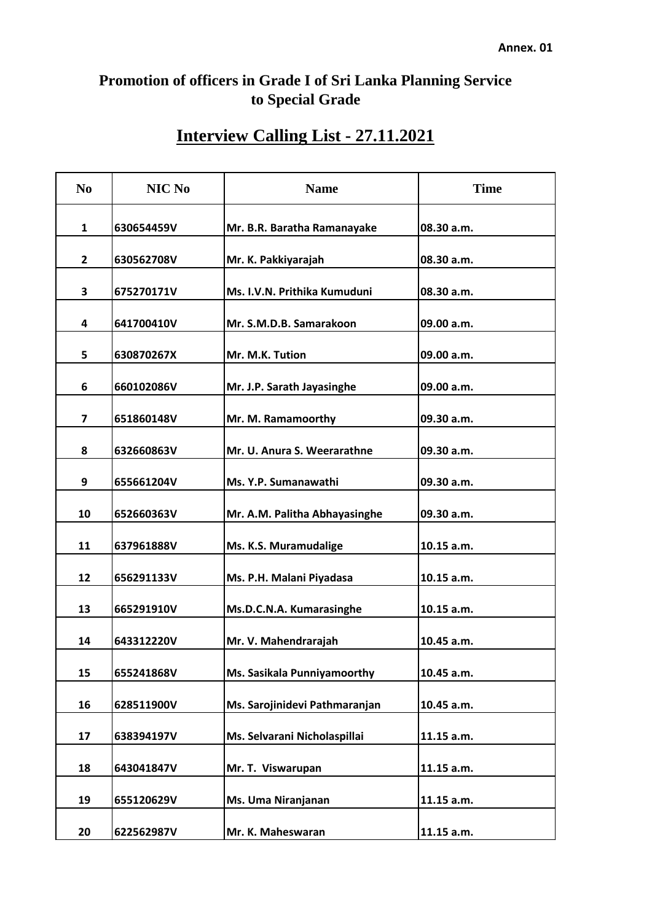## **Promotion of officers in Grade I of Sri Lanka Planning Service to Special Grade**

# **Interview Calling List - 27.11.2021**

| N <sub>0</sub> | NIC No     | <b>Name</b>                   | <b>Time</b> |
|----------------|------------|-------------------------------|-------------|
| 1              | 630654459V | Mr. B.R. Baratha Ramanayake   | 08.30 a.m.  |
| 2              | 630562708V | Mr. K. Pakkiyarajah           | 08.30 a.m.  |
| 3              | 675270171V | Ms. I.V.N. Prithika Kumuduni  | 08.30 a.m.  |
| 4              | 641700410V | Mr. S.M.D.B. Samarakoon       | 09.00 a.m.  |
| 5              | 630870267X | Mr. M.K. Tution               | 09.00 a.m.  |
| 6              | 660102086V | Mr. J.P. Sarath Jayasinghe    | 09.00 a.m.  |
| 7              | 651860148V | Mr. M. Ramamoorthy            | 09.30 a.m.  |
| 8              | 632660863V | Mr. U. Anura S. Weerarathne   | 09.30 a.m.  |
| 9              | 655661204V | Ms. Y.P. Sumanawathi          | 09.30 a.m.  |
| 10             | 652660363V | Mr. A.M. Palitha Abhayasinghe | 09.30 a.m.  |
| 11             | 637961888V | Ms. K.S. Muramudalige         | 10.15 a.m.  |
| 12             | 656291133V | Ms. P.H. Malani Piyadasa      | 10.15 a.m.  |
| 13             | 665291910V | Ms.D.C.N.A. Kumarasinghe      | 10.15 a.m.  |
| 14             | 643312220V | Mr. V. Mahendrarajah          | 10.45 a.m.  |
| 15             | 655241868V | Ms. Sasikala Punniyamoorthy   | 10.45 a.m.  |
| 16             | 628511900V | Ms. Sarojinidevi Pathmaranjan | 10.45 a.m.  |
| 17             | 638394197V | Ms. Selvarani Nicholaspillai  | 11.15 a.m.  |
| 18             | 643041847V | Mr. T. Viswarupan             | 11.15 a.m.  |
| 19             | 655120629V | Ms. Uma Niranjanan            | 11.15 a.m.  |
| 20             | 622562987V | Mr. K. Maheswaran             | 11.15 a.m.  |